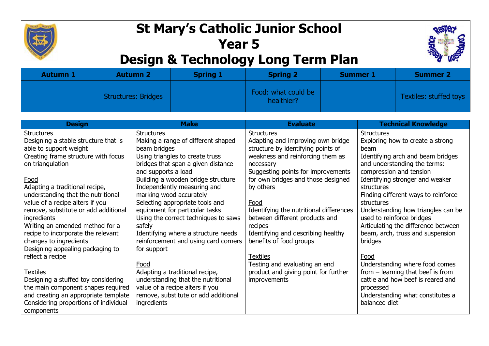

## **St Mary's Catholic Junior School Year 5 Design & Technology Long Term Plan**



| <b>Autumn 1</b> | <b>Autumn 2</b>     | <b>Spring 1</b> | <b>Spring 2</b>                   | <b>Summer 1</b> | <b>Summer 2</b>        |
|-----------------|---------------------|-----------------|-----------------------------------|-----------------|------------------------|
|                 | Structures: Bridges |                 | Food: what could be<br>healthier? |                 | Textiles: stuffed toys |

| <b>Design</b>                         | <b>Make</b>                          | <b>Evaluate</b>                         | <b>Technical Knowledge</b>          |
|---------------------------------------|--------------------------------------|-----------------------------------------|-------------------------------------|
| <b>Structures</b>                     | <b>Structures</b>                    | Structures                              | Structures                          |
| Designing a stable structure that is  | Making a range of different shaped   | Adapting and improving own bridge       | Exploring how to create a strong    |
| able to support weight                | beam bridges                         | structure by identifying points of      | beam                                |
| Creating frame structure with focus   | Using triangles to create truss      | weakness and reinforcing them as        | Identifying arch and beam bridges   |
| on triangulation                      | bridges that span a given distance   | necessary                               | and understanding the terms:        |
|                                       | and supports a load                  | Suggesting points for improvements      | compression and tension             |
| Food                                  | Building a wooden bridge structure   | for own bridges and those designed      | Identifying stronger and weaker     |
| Adapting a traditional recipe,        | Independently measuring and          | by others                               | structures                          |
| understanding that the nutritional    | marking wood accurately              |                                         | Finding different ways to reinforce |
| value of a recipe alters if you       | Selecting appropriate tools and      | Food                                    | structures                          |
| remove, substitute or add additional  | equipment for particular tasks       | Identifying the nutritional differences | Understanding how triangles can be  |
| ingredients                           | Using the correct techniques to saws | between different products and          | used to reinforce bridges           |
| Writing an amended method for a       | safely                               | recipes                                 | Articulating the difference between |
| recipe to incorporate the relevant    | Identifying where a structure needs  | Identifying and describing healthy      | beam, arch, truss and suspension    |
| changes to ingredients                | reinforcement and using card corners | benefits of food groups                 | bridges                             |
| Designing appealing packaging to      | for support                          |                                         |                                     |
| reflect a recipe                      |                                      | <b>Textiles</b>                         | Food                                |
|                                       | Food                                 | Testing and evaluating an end           | Understanding where food comes      |
| <b>Textiles</b>                       | Adapting a traditional recipe,       | product and giving point for further    | from $-$ learning that beef is from |
| Designing a stuffed toy considering   | understanding that the nutritional   | <i>improvements</i>                     | cattle and how beef is reared and   |
| the main component shapes required    | value of a recipe alters if you      |                                         | processed                           |
| and creating an appropriate template  | remove, substitute or add additional |                                         | Understanding what constitutes a    |
| Considering proportions of individual | ingredients                          |                                         | balanced diet                       |
| components                            |                                      |                                         |                                     |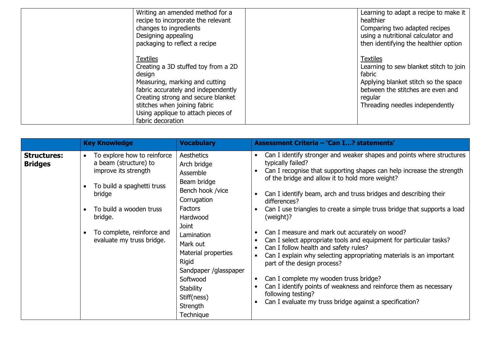| Writing an amended method for a<br>recipe to incorporate the relevant<br>changes to ingredients<br>Designing appealing<br>packaging to reflect a recipe                                                                                                                    | Learning to adapt a recipe to make it  <br>healthier<br>Comparing two adapted recipes<br>using a nutritional calculator and<br>then identifying the healthier option                           |
|----------------------------------------------------------------------------------------------------------------------------------------------------------------------------------------------------------------------------------------------------------------------------|------------------------------------------------------------------------------------------------------------------------------------------------------------------------------------------------|
| <b>Textiles</b><br>Creating a 3D stuffed toy from a 2D<br>design<br>Measuring, marking and cutting<br>fabric accurately and independently<br>Creating strong and secure blanket<br>stitches when joining fabric<br>Using applique to attach pieces of<br>fabric decoration | <b>Textiles</b><br>Learning to sew blanket stitch to join<br>fabric<br>Applying blanket stitch so the space<br>between the stitches are even and<br>regular<br>Threading needles independently |

|                                      | <b>Key Knowledge</b>                                                                                                                                                                                                               | <b>Vocabulary</b>                                                                                                                                                                                                                                                           | Assessment Criteria - 'Can I? statements'                                                                                                                                                                                                                                                                                                                                                                                                                                                                                                                                                                                                                                                                                                                                                                                                                                                                                                                                                       |
|--------------------------------------|------------------------------------------------------------------------------------------------------------------------------------------------------------------------------------------------------------------------------------|-----------------------------------------------------------------------------------------------------------------------------------------------------------------------------------------------------------------------------------------------------------------------------|-------------------------------------------------------------------------------------------------------------------------------------------------------------------------------------------------------------------------------------------------------------------------------------------------------------------------------------------------------------------------------------------------------------------------------------------------------------------------------------------------------------------------------------------------------------------------------------------------------------------------------------------------------------------------------------------------------------------------------------------------------------------------------------------------------------------------------------------------------------------------------------------------------------------------------------------------------------------------------------------------|
| <b>Structures:</b><br><b>Bridges</b> | To explore how to reinforce<br>$\bullet$<br>a beam (structure) to<br>improve its strength<br>To build a spaghetti truss<br>bridge<br>To build a wooden truss<br>bridge.<br>To complete, reinforce and<br>evaluate my truss bridge. | Aesthetics<br>Arch bridge<br>Assemble<br>Beam bridge<br>Bench hook /vice<br>Corrugation<br>Factors<br>Hardwood<br>Joint<br>Lamination<br>Mark out<br>Material properties<br>Rigid<br>Sandpaper /glasspaper<br>Softwood<br>Stability<br>Stiff(ness)<br>Strength<br>Technique | Can I identify stronger and weaker shapes and points where structures<br>$\bullet$<br>typically failed?<br>Can I recognise that supporting shapes can help increase the strength<br>$\bullet$<br>of the bridge and allow it to hold more weight?<br>Can I identify beam, arch and truss bridges and describing their<br>$\bullet$<br>differences?<br>Can I use triangles to create a simple truss bridge that supports a load<br>$\bullet$<br>(weight)?<br>Can I measure and mark out accurately on wood?<br>$\bullet$<br>Can I select appropriate tools and equipment for particular tasks?<br>$\bullet$<br>Can I follow health and safety rules?<br>Can I explain why selecting appropriating materials is an important<br>$\bullet$<br>part of the design process?<br>Can I complete my wooden truss bridge?<br>$\bullet$<br>Can I identify points of weakness and reinforce them as necessary<br>following testing?<br>Can I evaluate my truss bridge against a specification?<br>$\bullet$ |